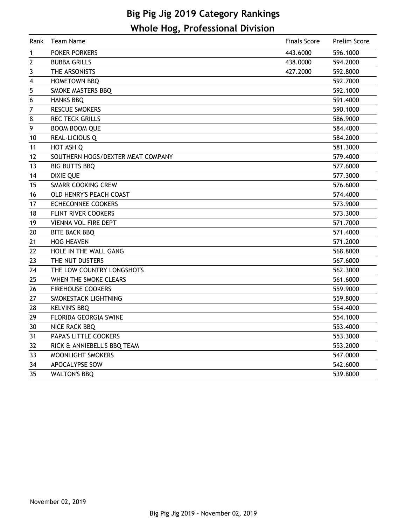# **Big Pig Jig 2019 Category Rankings Whole Hog, Professional Division**

| Rank           | <b>Team Name</b>                  | <b>Finals Score</b> | Prelim Score |
|----------------|-----------------------------------|---------------------|--------------|
| $\mathbf 1$    | <b>POKER PORKERS</b>              | 443.6000            | 596.1000     |
| $\overline{2}$ | <b>BUBBA GRILLS</b>               | 438,0000            | 594.2000     |
| 3              | THE ARSONISTS                     | 427.2000            | 592.8000     |
| 4              | <b>HOMETOWN BBQ</b>               |                     | 592.7000     |
| 5              | SMOKE MASTERS BBQ                 |                     | 592.1000     |
| 6              | <b>HANKS BBQ</b>                  |                     | 591.4000     |
| $\overline{7}$ | <b>RESCUE SMOKERS</b>             |                     | 590.1000     |
| 8              | <b>REC TECK GRILLS</b>            |                     | 586.9000     |
| 9              | <b>BOOM BOOM QUE</b>              |                     | 584.4000     |
| 10             | <b>REAL-LICIOUS Q</b>             |                     | 584.2000     |
| 11             | HOT ASH Q                         |                     | 581.3000     |
| 12             | SOUTHERN HOGS/DEXTER MEAT COMPANY |                     | 579.4000     |
| 13             | <b>BIG BUTTS BBQ</b>              |                     | 577.6000     |
| 14             | <b>DIXIE QUE</b>                  |                     | 577.3000     |
| 15             | <b>SMARR COOKING CREW</b>         |                     | 576.6000     |
| 16             | OLD HENRY'S PEACH COAST           |                     | 574.4000     |
| 17             | <b>ECHECONNEE COOKERS</b>         |                     | 573.9000     |
| 18             | FLINT RIVER COOKERS               |                     | 573.3000     |
| 19             | <b>VIENNA VOL FIRE DEPT</b>       |                     | 571.7000     |
| 20             | <b>BITE BACK BBQ</b>              |                     | 571.4000     |
| 21             | <b>HOG HEAVEN</b>                 |                     | 571.2000     |
| 22             | HOLE IN THE WALL GANG             |                     | 568.8000     |
| 23             | THE NUT DUSTERS                   |                     | 567.6000     |
| 24             | THE LOW COUNTRY LONGSHOTS         |                     | 562.3000     |
| 25             | WHEN THE SMOKE CLEARS             |                     | 561.6000     |
| 26             | <b>FIREHOUSE COOKERS</b>          |                     | 559.9000     |
| 27             | SMOKESTACK LIGHTNING              |                     | 559.8000     |
| 28             | <b>KELVIN'S BBQ</b>               |                     | 554.4000     |
| 29             | FLORIDA GEORGIA SWINE             |                     | 554.1000     |
| 30             | NICE RACK BBQ                     |                     | 553.4000     |
| 31             | PAPA'S LITTLE COOKERS             |                     | 553.3000     |
| 32             | RICK & ANNIEBELL'S BBQ TEAM       |                     | 553.2000     |
| 33             | MOONLIGHT SMOKERS                 |                     | 547.0000     |
| 34             | APOCALYPSE SOW                    |                     | 542.6000     |
| 35             | <b>WALTON'S BBQ</b>               |                     | 539.8000     |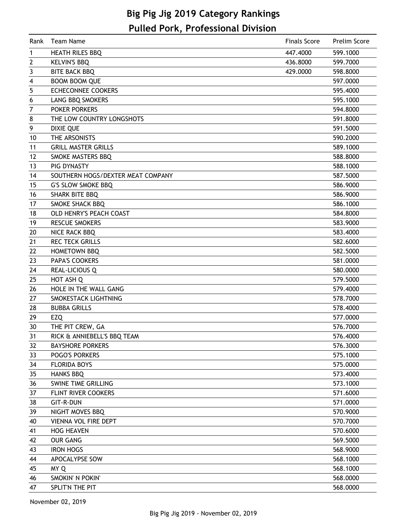# **Big Pig Jig 2019 Category Rankings Pulled Pork, Professional Division**

| Rank | Team Name                         | <b>Finals Score</b> | Prelim Score |
|------|-----------------------------------|---------------------|--------------|
| 1    | <b>HEATH RILES BBQ</b>            | 447.4000            | 599.1000     |
| 2    | <b>KELVIN'S BBQ</b>               | 436.8000            | 599.7000     |
| 3    | <b>BITE BACK BBQ</b>              | 429.0000            | 598.8000     |
| 4    | <b>BOOM BOOM QUE</b>              |                     | 597.0000     |
| 5    | <b>ECHECONNEE COOKERS</b>         |                     | 595.4000     |
| 6    | LANG BBQ SMOKERS                  |                     | 595.1000     |
| 7    | <b>POKER PORKERS</b>              |                     | 594.8000     |
| 8    | THE LOW COUNTRY LONGSHOTS         |                     | 591.8000     |
| 9    | <b>DIXIE QUE</b>                  |                     | 591.5000     |
| 10   | THE ARSONISTS                     |                     | 590.2000     |
| 11   | <b>GRILL MASTER GRILLS</b>        |                     | 589.1000     |
| 12   | SMOKE MASTERS BBQ                 |                     | 588.8000     |
| 13   | PIG DYNASTY                       |                     | 588.1000     |
| 14   | SOUTHERN HOGS/DEXTER MEAT COMPANY |                     | 587.5000     |
| 15   | <b>G'S SLOW SMOKE BBQ</b>         |                     | 586.9000     |
| 16   | <b>SHARK BITE BBQ</b>             |                     | 586.9000     |
| 17   | SMOKE SHACK BBQ                   |                     | 586.1000     |
| 18   | OLD HENRY'S PEACH COAST           |                     | 584.8000     |
| 19   | <b>RESCUE SMOKERS</b>             |                     | 583.9000     |
| 20   | NICE RACK BBQ                     |                     | 583.4000     |
| 21   | <b>REC TECK GRILLS</b>            |                     | 582.6000     |
| 22   | <b>HOMETOWN BBQ</b>               |                     | 582.5000     |
| 23   | PAPA'S COOKERS                    |                     | 581.0000     |
| 24   | REAL-LICIOUS Q                    |                     | 580.0000     |
| 25   | HOT ASH Q                         |                     | 579.5000     |
| 26   | HOLE IN THE WALL GANG             |                     | 579.4000     |
| 27   | SMOKESTACK LIGHTNING              |                     | 578.7000     |
| 28   | <b>BUBBA GRILLS</b>               |                     | 578.4000     |
| 29   | EZQ                               |                     | 577.0000     |
| 30   | THE PIT CREW, GA                  |                     | 576.7000     |
| 31   | RICK & ANNIEBELL'S BBQ TEAM       |                     | 576.4000     |
| 32   | <b>BAYSHORE PORKERS</b>           |                     | 576.3000     |
| 33   | <b>POGO'S PORKERS</b>             |                     | 575.1000     |
| 34   | <b>FLORIDA BOYS</b>               |                     | 575.0000     |
| 35   | <b>HANKS BBQ</b>                  |                     | 573.4000     |
| 36   | SWINE TIME GRILLING               |                     | 573.1000     |
| 37   | FLINT RIVER COOKERS               |                     | 571.6000     |
| 38   | GIT-R-DUN                         |                     | 571.0000     |
| 39   | NIGHT MOVES BBQ                   |                     | 570.9000     |
| 40   | <b>VIENNA VOL FIRE DEPT</b>       |                     | 570.7000     |
| 41   | <b>HOG HEAVEN</b>                 |                     | 570.6000     |
| 42   | <b>OUR GANG</b>                   |                     | 569.5000     |
| 43   | <b>IRON HOGS</b>                  |                     | 568.9000     |
| 44   | APOCALYPSE SOW                    |                     | 568.1000     |
| 45   | MY Q                              |                     | 568.1000     |
| 46   | SMOKIN' N POKIN'                  |                     | 568.0000     |
| 47   | SPLIT'N THE PIT                   |                     | 568.0000     |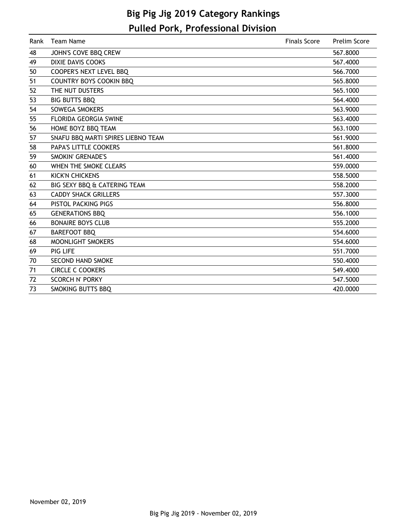# **Big Pig Jig 2019 Category Rankings Pulled Pork, Professional Division**

| Rank | Team Name                          | <b>Finals Score</b> | Prelim Score |
|------|------------------------------------|---------------------|--------------|
| 48   | JOHN'S COVE BBQ CREW               |                     | 567.8000     |
| 49   | <b>DIXIE DAVIS COOKS</b>           |                     | 567.4000     |
| 50   | <b>COOPER'S NEXT LEVEL BBQ</b>     |                     | 566.7000     |
| 51   | <b>COUNTRY BOYS COOKIN BBQ</b>     |                     | 565.8000     |
| 52   | THE NUT DUSTERS                    |                     | 565.1000     |
| 53   | <b>BIG BUTTS BBQ</b>               |                     | 564.4000     |
| 54   | <b>SOWEGA SMOKERS</b>              |                     | 563.9000     |
| 55   | <b>FLORIDA GEORGIA SWINE</b>       |                     | 563.4000     |
| 56   | HOME BOYZ BBQ TEAM                 |                     | 563.1000     |
| 57   | SNAFU BBQ MARTI SPIRES LIEBNO TEAM |                     | 561.9000     |
| 58   | <b>PAPA'S LITTLE COOKERS</b>       |                     | 561.8000     |
| 59   | SMOKIN' GRENADE'S                  |                     | 561.4000     |
| 60   | WHEN THE SMOKE CLEARS              |                     | 559.0000     |
| 61   | <b>KICK'N CHICKENS</b>             |                     | 558.5000     |
| 62   | BIG SEXY BBQ & CATERING TEAM       |                     | 558.2000     |
| 63   | <b>CADDY SHACK GRILLERS</b>        |                     | 557.3000     |
| 64   | <b>PISTOL PACKING PIGS</b>         |                     | 556.8000     |
| 65   | <b>GENERATIONS BBQ</b>             |                     | 556.1000     |
| 66   | <b>BONAIRE BOYS CLUB</b>           |                     | 555.2000     |
| 67   | <b>BAREFOOT BBQ</b>                |                     | 554.6000     |
| 68   | MOONLIGHT SMOKERS                  |                     | 554.6000     |
| 69   | <b>PIG LIFE</b>                    |                     | 551.7000     |
| 70   | <b>SECOND HAND SMOKE</b>           |                     | 550.4000     |
| 71   | <b>CIRCLE C COOKERS</b>            |                     | 549.4000     |
| 72   | <b>SCORCH N' PORKY</b>             |                     | 547.5000     |
| 73   | SMOKING BUTTS BBQ                  |                     | 420.0000     |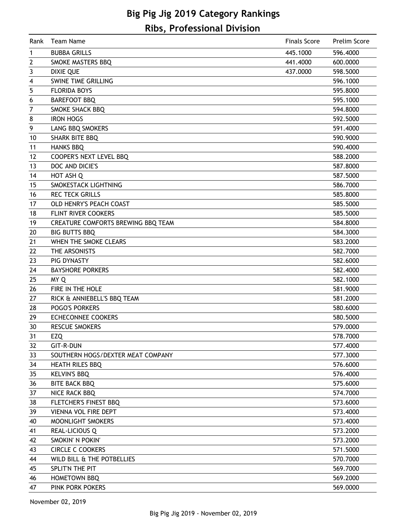# **Big Pig Jig 2019 Category Rankings Ribs, Professional Division**

| Rank           | <b>Team Name</b>                   | <b>Finals Score</b> | Prelim Score |
|----------------|------------------------------------|---------------------|--------------|
| 1              | <b>BUBBA GRILLS</b>                | 445.1000            | 596.4000     |
| $\overline{2}$ | SMOKE MASTERS BBQ                  | 441.4000            | 600.0000     |
| 3              | <b>DIXIE QUE</b>                   | 437.0000            | 598.5000     |
| 4              | <b>SWINE TIME GRILLING</b>         |                     | 596.1000     |
| 5              | <b>FLORIDA BOYS</b>                |                     | 595.8000     |
| 6              | <b>BAREFOOT BBQ</b>                |                     | 595.1000     |
| 7              | SMOKE SHACK BBQ                    |                     | 594.8000     |
| 8              | <b>IRON HOGS</b>                   |                     | 592.5000     |
| 9              | LANG BBQ SMOKERS                   |                     | 591.4000     |
| 10             | <b>SHARK BITE BBQ</b>              |                     | 590.9000     |
| 11             | <b>HANKS BBQ</b>                   |                     | 590.4000     |
| 12             | COOPER'S NEXT LEVEL BBQ            |                     | 588.2000     |
| 13             | DOC AND DICIE'S                    |                     | 587.8000     |
| 14             | HOT ASH Q                          |                     | 587.5000     |
| 15             | SMOKESTACK LIGHTNING               |                     | 586.7000     |
| 16             | <b>REC TECK GRILLS</b>             |                     | 585.8000     |
| 17             | OLD HENRY'S PEACH COAST            |                     | 585.5000     |
| 18             | FLINT RIVER COOKERS                |                     | 585.5000     |
| 19             | CREATURE COMFORTS BREWING BBQ TEAM |                     | 584.8000     |
| 20             | <b>BIG BUTTS BBQ</b>               |                     | 584.3000     |
| 21             | WHEN THE SMOKE CLEARS              |                     | 583.2000     |
| 22             | THE ARSONISTS                      |                     | 582.7000     |
| 23             | PIG DYNASTY                        |                     | 582.6000     |
| 24             | <b>BAYSHORE PORKERS</b>            |                     | 582.4000     |
| 25             | MY Q                               |                     | 582.1000     |
| 26             | FIRE IN THE HOLE                   |                     | 581.9000     |
| 27             | RICK & ANNIEBELL'S BBQ TEAM        |                     | 581.2000     |
| 28             | <b>POGO'S PORKERS</b>              |                     | 580.6000     |
| 29             | <b>ECHECONNEE COOKERS</b>          |                     | 580.5000     |
| 30             | <b>RESCUE SMOKERS</b>              |                     | 579.0000     |
| 31             | <b>EZQ</b>                         |                     | 578.7000     |
| 32             | <b>GIT-R-DUN</b>                   |                     | 577.4000     |
| 33             | SOUTHERN HOGS/DEXTER MEAT COMPANY  |                     | 577.3000     |
| 34             | <b>HEATH RILES BBQ</b>             |                     | 576.6000     |
| 35             | <b>KELVIN'S BBQ</b>                |                     | 576.4000     |
| 36             | <b>BITE BACK BBQ</b>               |                     | 575.6000     |
| 37             | NICE RACK BBQ                      |                     | 574.7000     |
| 38             | FLETCHER'S FINEST BBQ              |                     | 573.6000     |
| 39             | <b>VIENNA VOL FIRE DEPT</b>        |                     | 573.4000     |
| 40             | MOONLIGHT SMOKERS                  |                     | 573.4000     |
| 41             | <b>REAL-LICIOUS Q</b>              |                     | 573.2000     |
| 42             | SMOKIN' N POKIN'                   |                     | 573.2000     |
| 43             | <b>CIRCLE C COOKERS</b>            |                     | 571.5000     |
| 44             | WILD BILL & THE POTBELLIES         |                     | 570.7000     |
| 45             | SPLIT'N THE PIT                    |                     | 569.7000     |
| 46             | HOMETOWN BBQ                       |                     | 569.2000     |
| 47             | PINK PORK POKERS                   |                     | 569.0000     |
|                |                                    |                     |              |

November 02, 2019